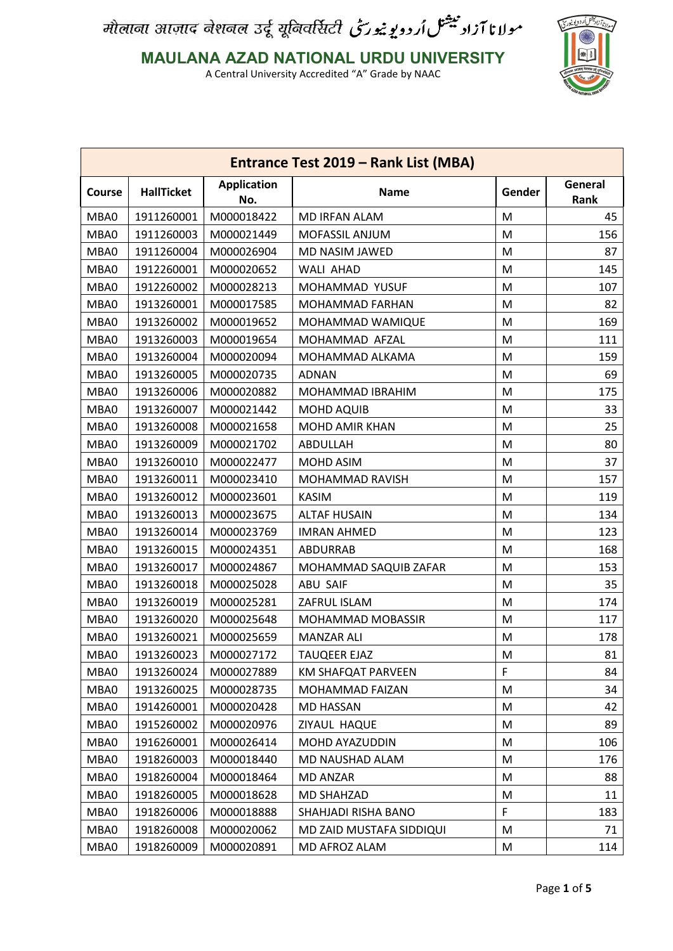مولانا آزاد بیشل اُردویوییورسی औलाना आज़ाद नेशनल उर्दू यूनिवर्सिटी



**MAULANA AZAD NATIONAL URDU UNIVERSITY**

| Entrance Test 2019 - Rank List (MBA) |                   |                           |                          |         |                 |
|--------------------------------------|-------------------|---------------------------|--------------------------|---------|-----------------|
| Course                               | <b>HallTicket</b> | <b>Application</b><br>No. | <b>Name</b>              | Gender  | General<br>Rank |
| MBA0                                 | 1911260001        | M000018422                | <b>MD IRFAN ALAM</b>     | M       | 45              |
| MBA0                                 | 1911260003        | M000021449                | MOFASSIL ANJUM           | M       | 156             |
| MBA0                                 | 1911260004        | M000026904                | MD NASIM JAWED           | M       | 87              |
| MBA0                                 | 1912260001        | M000020652                | <b>WALI AHAD</b>         | M       | 145             |
| MBA0                                 | 1912260002        | M000028213                | <b>MOHAMMAD YUSUF</b>    | M       | 107             |
| MBA0                                 | 1913260001        | M000017585                | MOHAMMAD FARHAN          | M       | 82              |
| MBA0                                 | 1913260002        | M000019652                | MOHAMMAD WAMIQUE         | M       | 169             |
| MBA0                                 | 1913260003        | M000019654                | MOHAMMAD AFZAL           | M       | 111             |
| MBA0                                 | 1913260004        | M000020094                | MOHAMMAD ALKAMA          | M       | 159             |
| MBA0                                 | 1913260005        | M000020735                | <b>ADNAN</b>             | M       | 69              |
| MBA0                                 | 1913260006        | M000020882                | MOHAMMAD IBRAHIM         | M       | 175             |
| MBA0                                 | 1913260007        | M000021442                | <b>MOHD AQUIB</b>        | M       | 33              |
| MBA0                                 | 1913260008        | M000021658                | MOHD AMIR KHAN           | M       | 25              |
| MBA0                                 | 1913260009        | M000021702                | ABDULLAH                 | M       | 80              |
| MBA0                                 | 1913260010        | M000022477                | MOHD ASIM                | M       | 37              |
| MBA0                                 | 1913260011        | M000023410                | MOHAMMAD RAVISH          | M       | 157             |
| MBA0                                 | 1913260012        | M000023601                | <b>KASIM</b>             | M       | 119             |
| MBA0                                 | 1913260013        | M000023675                | <b>ALTAF HUSAIN</b>      | M       | 134             |
| MBA0                                 | 1913260014        | M000023769                | <b>IMRAN AHMED</b>       | M       | 123             |
| MBA0                                 | 1913260015        | M000024351                | ABDURRAB                 | M       | 168             |
| MBA0                                 | 1913260017        | M000024867                | MOHAMMAD SAQUIB ZAFAR    | M       | 153             |
| MBA0                                 | 1913260018        | M000025028                | <b>ABU SAIF</b>          | M       | 35              |
| MBA0                                 | 1913260019        | M000025281                | ZAFRUL ISLAM             | M       | 174             |
| MBA0                                 | 1913260020        | M000025648                | MOHAMMAD MOBASSIR        | M       | 117             |
| MBA0                                 | 1913260021        | M000025659                | <b>MANZAR ALI</b>        | M       | 178             |
| MBA0                                 | 1913260023        | M000027172                | <b>TAUQEER EJAZ</b>      | $\sf M$ | 81              |
| MBA0                                 | 1913260024        | M000027889                | KM SHAFQAT PARVEEN       | F       | 84              |
| MBA0                                 | 1913260025        | M000028735                | MOHAMMAD FAIZAN          | M       | 34              |
| MBA0                                 | 1914260001        | M000020428                | <b>MD HASSAN</b>         | M       | 42              |
| MBA0                                 | 1915260002        | M000020976                | ZIYAUL HAQUE             | M       | 89              |
| MBA0                                 | 1916260001        | M000026414                | MOHD AYAZUDDIN           | M       | 106             |
| MBA0                                 | 1918260003        | M000018440                | MD NAUSHAD ALAM          | M       | 176             |
| MBA0                                 | 1918260004        | M000018464                | <b>MD ANZAR</b>          | M       | 88              |
| MBA0                                 | 1918260005        | M000018628                | MD SHAHZAD               | M       | 11              |
| MBA0                                 | 1918260006        | M000018888                | SHAHJADI RISHA BANO      | F       | 183             |
| MBA0                                 | 1918260008        | M000020062                | MD ZAID MUSTAFA SIDDIQUI | M       | 71              |
| MBA0                                 | 1918260009        | M000020891                | MD AFROZ ALAM            | M       | 114             |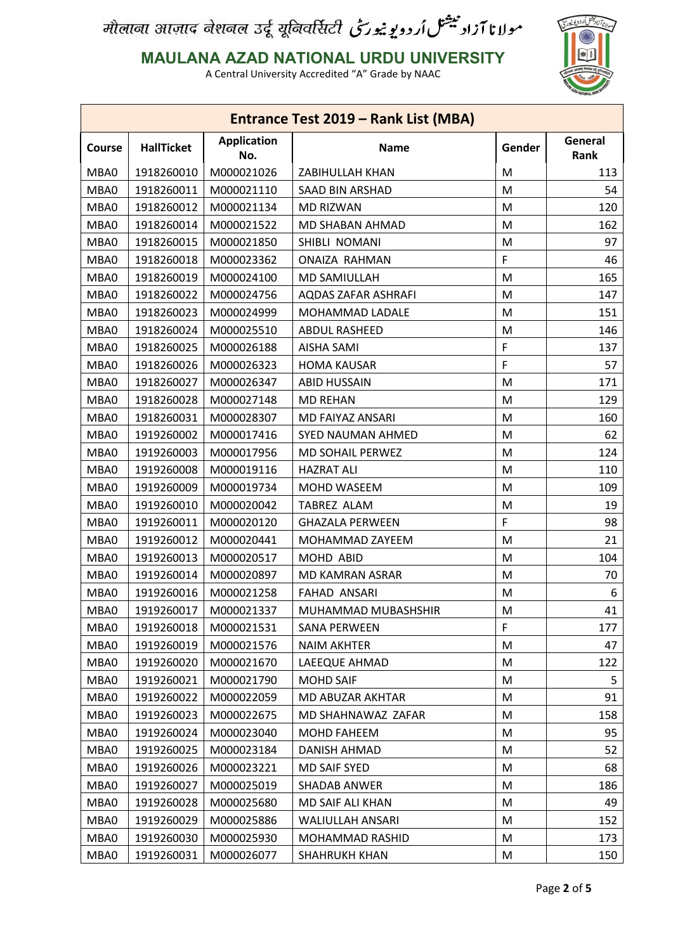### **MAULANA AZAD NATIONAL URDU UNIVERSITY**



| General                                                                                          |     |
|--------------------------------------------------------------------------------------------------|-----|
| <b>Application</b><br><b>HallTicket</b><br>Gender<br><b>Name</b><br><b>Course</b><br>Rank<br>No. |     |
| M000021026<br>MBA0<br>1918260010<br>ZABIHULLAH KHAN<br>M                                         | 113 |
| 1918260011<br>MBA0<br>M000021110<br>SAAD BIN ARSHAD<br>M                                         | 54  |
| 1918260012<br>MBA0<br>M000021134<br><b>MD RIZWAN</b><br>M                                        | 120 |
| MBA0<br>1918260014<br>M000021522<br>M<br>MD SHABAN AHMAD                                         | 162 |
| MBA0<br>1918260015<br>M000021850<br>M<br>SHIBLI NOMANI                                           | 97  |
| F<br>1918260018<br>MBA0<br>M000023362<br>ONAIZA RAHMAN                                           | 46  |
| MBA0<br>1918260019<br>M000024100<br>MD SAMIULLAH<br>M                                            | 165 |
| 1918260022<br>MBA0<br>M000024756<br><b>AQDAS ZAFAR ASHRAFI</b><br>M                              | 147 |
| 1918260023<br>MBA0<br>M000024999<br>MOHAMMAD LADALE<br>M                                         | 151 |
| 1918260024<br>MBA0<br>M000025510<br>M<br><b>ABDUL RASHEED</b>                                    | 146 |
| F<br>1918260025<br>MBA0<br>M000026188<br><b>AISHA SAMI</b>                                       | 137 |
| F<br>MBA0<br>1918260026<br>M000026323<br><b>HOMA KAUSAR</b>                                      | 57  |
| 1918260027<br>MBA0<br>M000026347<br><b>ABID HUSSAIN</b><br>M                                     | 171 |
| MBA0<br>1918260028<br>M000027148<br><b>MD REHAN</b><br>M                                         | 129 |
| 1918260031<br>MBA0<br>M000028307<br>MD FAIYAZ ANSARI<br>M                                        | 160 |
| 1919260002<br>MBA0<br>M000017416<br><b>SYED NAUMAN AHMED</b><br>M                                | 62  |
| 1919260003<br>MBA0<br>M000017956<br>M<br>MD SOHAIL PERWEZ                                        | 124 |
| 1919260008<br>MBA0<br>M000019116<br><b>HAZRAT ALI</b><br>M                                       | 110 |
| MBA0<br>1919260009<br>M000019734<br>MOHD WASEEM<br>M                                             | 109 |
| 1919260010<br>MBA0<br>M000020042<br><b>TABREZ ALAM</b><br>M                                      | 19  |
| F<br>MBA0<br>1919260011<br>M000020120<br><b>GHAZALA PERWEEN</b>                                  | 98  |
| 1919260012<br>MBA0<br>M000020441<br>MOHAMMAD ZAYEEM<br>M                                         | 21  |
| 1919260013<br>MBA0<br>M000020517<br>MOHD ABID<br>M                                               | 104 |
| M<br>MBA0<br>1919260014<br>M000020897<br>MD KAMRAN ASRAR                                         | 70  |
| MBA0<br>1919260016<br>M000021258<br><b>FAHAD ANSARI</b><br>M                                     | 6   |
| MBA0<br>1919260017<br>M000021337<br>M<br>MUHAMMAD MUBASHSHIR                                     | 41  |
| F<br>MBA0<br>1919260018<br>M000021531<br><b>SANA PERWEEN</b>                                     | 177 |
| 1919260019<br>MBA0<br>M000021576<br><b>NAIM AKHTER</b><br>M                                      | 47  |
| MBA0<br>1919260020<br>M<br>M000021670<br>LAEEQUE AHMAD                                           | 122 |
| 1919260021<br>MBA0<br>M000021790<br><b>MOHD SAIF</b><br>M                                        | 5   |
| MBA0<br>1919260022<br>M000022059<br>M<br>MD ABUZAR AKHTAR                                        | 91  |
| MBA0<br>1919260023<br>M000022675<br>MD SHAHNAWAZ ZAFAR<br>M                                      | 158 |
| MBA0<br>1919260024<br>M<br>M000023040<br>MOHD FAHEEM                                             | 95  |
| MBA0<br>1919260025<br>M<br>M000023184<br>DANISH AHMAD                                            | 52  |
| 1919260026<br>MBA0<br>M000023221<br>MD SAIF SYED<br>M                                            | 68  |
| MBA0<br>1919260027<br>M<br>M000025019<br>SHADAB ANWER                                            | 186 |
| MBA0<br>1919260028<br>M000025680<br>MD SAIF ALI KHAN<br>M                                        | 49  |
| MBA0<br>1919260029<br>M000025886<br>M<br>WALIULLAH ANSARI                                        | 152 |
| MBA0<br>1919260030<br>M000025930<br>M<br>MOHAMMAD RASHID                                         | 173 |
| MBA0<br>1919260031<br>M000026077<br>M<br><b>SHAHRUKH KHAN</b>                                    | 150 |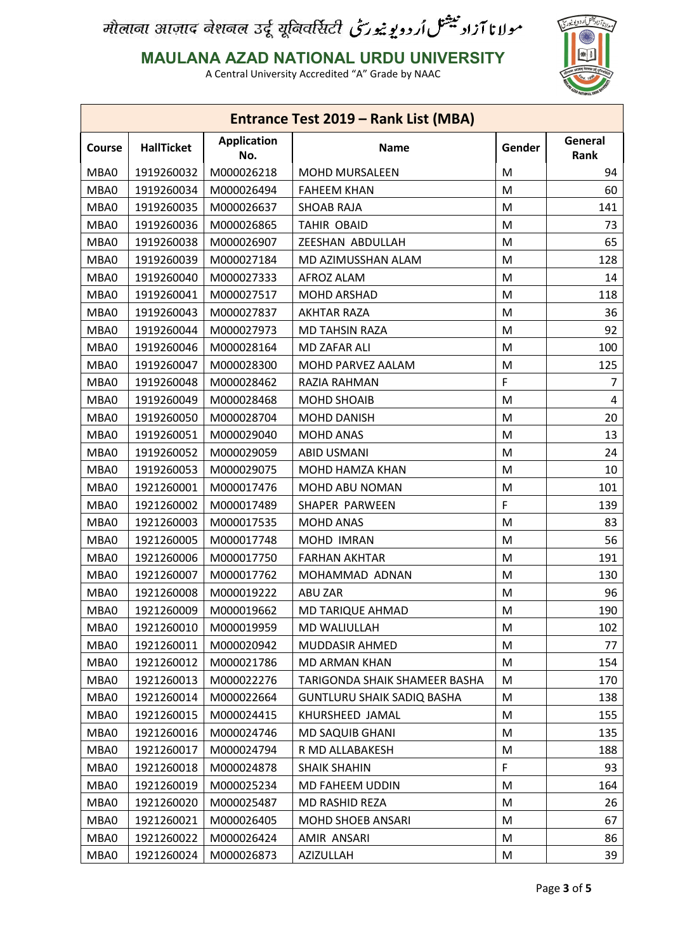### **MAULANA AZAD NATIONAL URDU UNIVERSITY**



| Entrance Test 2019 – Rank List (MBA) |                   |                           |                               |        |                 |
|--------------------------------------|-------------------|---------------------------|-------------------------------|--------|-----------------|
| Course                               | <b>HallTicket</b> | <b>Application</b><br>No. | <b>Name</b>                   | Gender | General<br>Rank |
| MBA0                                 | 1919260032        | M000026218                | <b>MOHD MURSALEEN</b>         | M      | 94              |
| MBA0                                 | 1919260034        | M000026494                | <b>FAHEEM KHAN</b>            | M      | 60              |
| MBA0                                 | 1919260035        | M000026637                | <b>SHOAB RAJA</b>             | M      | 141             |
| MBA0                                 | 1919260036        | M000026865                | <b>TAHIR OBAID</b>            | M      | 73              |
| MBA0                                 | 1919260038        | M000026907                | ZEESHAN ABDULLAH              | M      | 65              |
| MBA0                                 | 1919260039        | M000027184                | MD AZIMUSSHAN ALAM            | M      | 128             |
| MBA0                                 | 1919260040        | M000027333                | AFROZ ALAM                    | M      | 14              |
| MBA0                                 | 1919260041        | M000027517                | <b>MOHD ARSHAD</b>            | M      | 118             |
| MBA0                                 | 1919260043        | M000027837                | <b>AKHTAR RAZA</b>            | M      | 36              |
| MBA0                                 | 1919260044        | M000027973                | <b>MD TAHSIN RAZA</b>         | M      | 92              |
| MBA0                                 | 1919260046        | M000028164                | MD ZAFAR ALI                  | M      | 100             |
| MBA0                                 | 1919260047        | M000028300                | MOHD PARVEZ AALAM             | M      | 125             |
| MBA0                                 | 1919260048        | M000028462                | RAZIA RAHMAN                  | F      | 7               |
| MBA0                                 | 1919260049        | M000028468                | <b>MOHD SHOAIB</b>            | M      | 4               |
| MBA0                                 | 1919260050        | M000028704                | <b>MOHD DANISH</b>            | M      | 20              |
| MBA0                                 | 1919260051        | M000029040                | <b>MOHD ANAS</b>              | M      | 13              |
| MBA0                                 | 1919260052        | M000029059                | <b>ABID USMANI</b>            | M      | 24              |
| MBA0                                 | 1919260053        | M000029075                | MOHD HAMZA KHAN               | M      | 10              |
| MBA0                                 | 1921260001        | M000017476                | MOHD ABU NOMAN                | M      | 101             |
| MBA0                                 | 1921260002        | M000017489                | SHAPER PARWEEN                | F      | 139             |
| MBA0                                 | 1921260003        | M000017535                | <b>MOHD ANAS</b>              | M      | 83              |
| MBA0                                 | 1921260005        | M000017748                | MOHD IMRAN                    | M      | 56              |
| MBA0                                 | 1921260006        | M000017750                | <b>FARHAN AKHTAR</b>          | M      | 191             |
| MBA0                                 | 1921260007        | M000017762                | MOHAMMAD ADNAN                | M      | 130             |
| MBA0                                 | 1921260008        | M000019222                | ABU ZAR                       | M      | 96              |
| MBA0                                 | 1921260009        | M000019662                | MD TARIQUE AHMAD              | M      | 190             |
| MBA0                                 | 1921260010        | M000019959                | MD WALIULLAH                  | M      | 102             |
| MBA0                                 | 1921260011        | M000020942                | MUDDASIR AHMED                | M      | 77              |
| MBA0                                 | 1921260012        | M000021786                | MD ARMAN KHAN                 | M      | 154             |
| MBA0                                 | 1921260013        | M000022276                | TARIGONDA SHAIK SHAMEER BASHA | M      | 170             |
| MBA0                                 | 1921260014        | M000022664                | GUNTLURU SHAIK SADIQ BASHA    | M      | 138             |
| MBA0                                 | 1921260015        | M000024415                | KHURSHEED JAMAL               | M      | 155             |
| MBA0                                 | 1921260016        | M000024746                | MD SAQUIB GHANI               | M      | 135             |
| MBA0                                 | 1921260017        | M000024794                | R MD ALLABAKESH               | M      | 188             |
| MBA0                                 | 1921260018        | M000024878                | <b>SHAIK SHAHIN</b>           | F      | 93              |
| MBA0                                 | 1921260019        | M000025234                | MD FAHEEM UDDIN               | M      | 164             |
| MBA0                                 | 1921260020        | M000025487                | MD RASHID REZA                | M      | 26              |
| MBA0                                 | 1921260021        | M000026405                | <b>MOHD SHOEB ANSARI</b>      | M      | 67              |
| MBA0                                 | 1921260022        | M000026424                | AMIR ANSARI                   | M      | 86              |
| MBA0                                 | 1921260024        | M000026873                | AZIZULLAH                     | M      | 39              |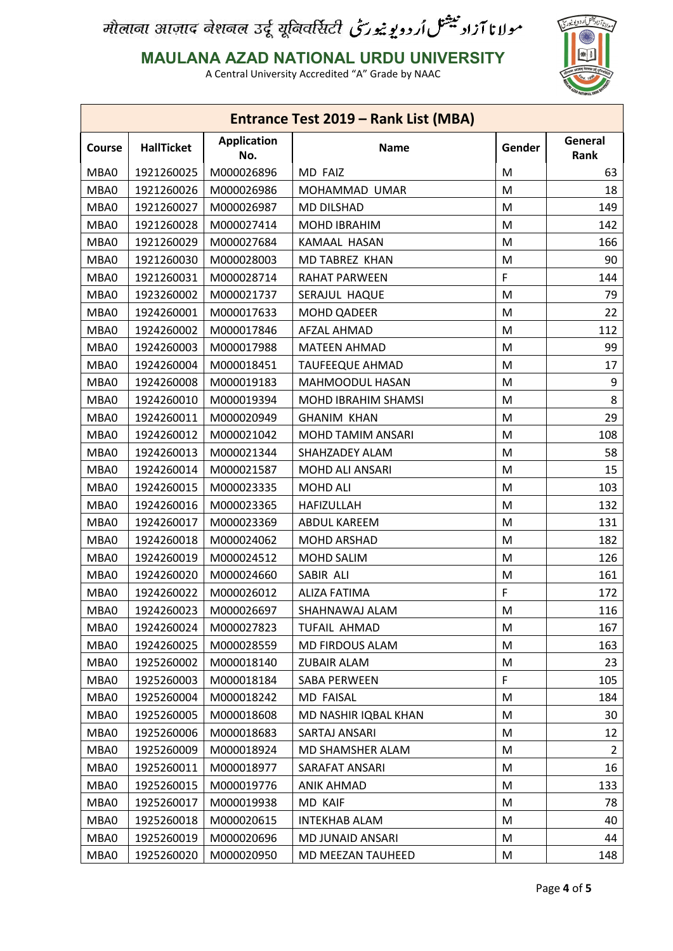### **MAULANA AZAD NATIONAL URDU UNIVERSITY**



| Entrance Test 2019 – Rank List (MBA) |                   |                           |                        |        |                 |
|--------------------------------------|-------------------|---------------------------|------------------------|--------|-----------------|
| <b>Course</b>                        | <b>HallTicket</b> | <b>Application</b><br>No. | <b>Name</b>            | Gender | General<br>Rank |
| MBA0                                 | 1921260025        | M000026896                | MD FAIZ                | M      | 63              |
| MBA0                                 | 1921260026        | M000026986                | MOHAMMAD UMAR          | M      | 18              |
| MBA0                                 | 1921260027        | M000026987                | <b>MD DILSHAD</b>      | M      | 149             |
| MBA0                                 | 1921260028        | M000027414                | MOHD IBRAHIM           | M      | 142             |
| MBA0                                 | 1921260029        | M000027684                | KAMAAL HASAN           | M      | 166             |
| MBA0                                 | 1921260030        | M000028003                | MD TABREZ KHAN         | M      | 90              |
| MBA0                                 | 1921260031        | M000028714                | RAHAT PARWEEN          | F      | 144             |
| MBA0                                 | 1923260002        | M000021737                | SERAJUL HAQUE          | M      | 79              |
| MBA0                                 | 1924260001        | M000017633                | <b>MOHD QADEER</b>     | M      | 22              |
| MBA0                                 | 1924260002        | M000017846                | AFZAL AHMAD            | M      | 112             |
| MBA0                                 | 1924260003        | M000017988                | <b>MATEEN AHMAD</b>    | M      | 99              |
| MBA0                                 | 1924260004        | M000018451                | <b>TAUFEEQUE AHMAD</b> | M      | 17              |
| MBA0                                 | 1924260008        | M000019183                | MAHMOODUL HASAN        | M      | 9               |
| MBA0                                 | 1924260010        | M000019394                | MOHD IBRAHIM SHAMSI    | M      | 8               |
| MBA0                                 | 1924260011        | M000020949                | <b>GHANIM KHAN</b>     | M      | 29              |
| MBA0                                 | 1924260012        | M000021042                | MOHD TAMIM ANSARI      | M      | 108             |
| MBA0                                 | 1924260013        | M000021344                | SHAHZADEY ALAM         | M      | 58              |
| MBA0                                 | 1924260014        | M000021587                | MOHD ALI ANSARI        | M      | 15              |
| MBA0                                 | 1924260015        | M000023335                | MOHD ALI               | M      | 103             |
| MBA0                                 | 1924260016        | M000023365                | HAFIZULLAH             | M      | 132             |
| MBA0                                 | 1924260017        | M000023369                | ABDUL KAREEM           | M      | 131             |
| MBA0                                 | 1924260018        | M000024062                | MOHD ARSHAD            | M      | 182             |
| MBA0                                 | 1924260019        | M000024512                | <b>MOHD SALIM</b>      | M      | 126             |
| MBA0                                 | 1924260020        | M000024660                | SABIR ALI              | M      | 161             |
| MBA0                                 | 1924260022        | M000026012                | ALIZA FATIMA           | F      | 172             |
| MBA0                                 | 1924260023        | M000026697                | SHAHNAWAJ ALAM         | M      | 116             |
| MBA0                                 | 1924260024        | M000027823                | <b>TUFAIL AHMAD</b>    | M      | 167             |
| MBA0                                 | 1924260025        | M000028559                | MD FIRDOUS ALAM        | M      | 163             |
| MBA0                                 | 1925260002        | M000018140                | <b>ZUBAIR ALAM</b>     | M      | 23              |
| MBA0                                 | 1925260003        | M000018184                | SABA PERWEEN           | F      | 105             |
| MBA0                                 | 1925260004        | M000018242                | MD FAISAL              | M      | 184             |
| MBA0                                 | 1925260005        | M000018608                | MD NASHIR IQBAL KHAN   | M      | 30              |
| MBA0                                 | 1925260006        | M000018683                | SARTAJ ANSARI          | M      | 12              |
| MBA0                                 | 1925260009        | M000018924                | MD SHAMSHER ALAM       | M      | $\overline{2}$  |
| MBA0                                 | 1925260011        | M000018977                | SARAFAT ANSARI         | M      | 16              |
| MBA0                                 | 1925260015        | M000019776                | ANIK AHMAD             | M      | 133             |
| MBA0                                 | 1925260017        | M000019938                | MD KAIF                | M      | 78              |
| MBA0                                 | 1925260018        | M000020615                | <b>INTEKHAB ALAM</b>   | M      | 40              |
| MBA0                                 | 1925260019        | M000020696                | MD JUNAID ANSARI       | M      | 44              |
| MBA0                                 | 1925260020        | M000020950                | MD MEEZAN TAUHEED      | M      | 148             |